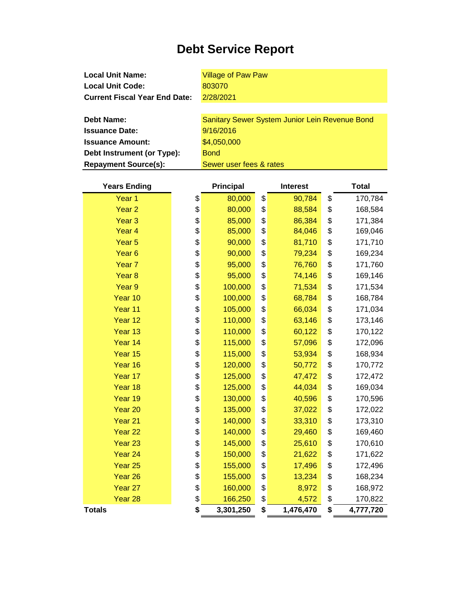## **Debt Service Report**

**Local Unit Name: Local Unit Code: Current Fiscal Year End Date: Debt Name:** Village of Paw Paw 803070 2/28/2021 Sanitary Sewer System Junior Lein Revenue Bond

| PCDL INGHIG.                | <u>Udinialy Jewel Ovsieni Junior Lein Revenue Donu</u> |
|-----------------------------|--------------------------------------------------------|
| <b>Issuance Date:</b>       | 9/16/2016                                              |
| <b>Issuance Amount:</b>     | \$4,050,000                                            |
| Debt Instrument (or Type):  | <b>Bond</b>                                            |
| <b>Repayment Source(s):</b> | Sewer user fees & rates                                |

| <b>Years Ending</b> | <b>Principal</b> | <b>Interest</b> | <b>Total</b>    |
|---------------------|------------------|-----------------|-----------------|
| Year <sub>1</sub>   | \$<br>80,000     | \$<br>90,784    | \$<br>170,784   |
| Year <sub>2</sub>   | \$<br>80,000     | \$<br>88,584    | \$<br>168,584   |
| Year <sub>3</sub>   | \$<br>85,000     | \$<br>86,384    | \$<br>171,384   |
| Year <sub>4</sub>   | \$<br>85,000     | \$<br>84,046    | \$<br>169,046   |
| Year <sub>5</sub>   | \$<br>90,000     | \$<br>81,710    | \$<br>171,710   |
| Year <sub>6</sub>   | \$<br>90,000     | \$<br>79,234    | \$<br>169,234   |
| Year <sub>7</sub>   | \$<br>95,000     | \$<br>76,760    | \$<br>171,760   |
| Year <sub>8</sub>   | \$<br>95,000     | \$<br>74,146    | \$<br>169,146   |
| Year <sub>9</sub>   | \$<br>100,000    | \$<br>71,534    | \$<br>171,534   |
| Year 10             | \$<br>100,000    | \$<br>68,784    | \$<br>168,784   |
| Year 11             | \$<br>105,000    | \$<br>66,034    | \$<br>171,034   |
| Year 12             | \$<br>110,000    | \$<br>63,146    | \$<br>173,146   |
| Year 13             | \$<br>110,000    | \$<br>60,122    | \$<br>170,122   |
| Year 14             | \$<br>115,000    | \$<br>57,096    | \$<br>172,096   |
| Year 15             | \$<br>115,000    | \$<br>53,934    | \$<br>168,934   |
| Year 16             | \$<br>120,000    | \$<br>50,772    | \$<br>170,772   |
| Year 17             | \$<br>125,000    | \$<br>47,472    | \$<br>172,472   |
| Year 18             | \$<br>125,000    | \$<br>44,034    | \$<br>169,034   |
| Year 19             | \$<br>130,000    | \$<br>40,596    | \$<br>170,596   |
| Year 20             | \$<br>135,000    | \$<br>37,022    | \$<br>172,022   |
| Year 21             | \$<br>140,000    | \$<br>33,310    | \$<br>173,310   |
| Year <sub>22</sub>  | \$<br>140,000    | \$<br>29,460    | \$<br>169,460   |
| Year <sub>23</sub>  | \$<br>145,000    | \$<br>25,610    | \$<br>170,610   |
| Year 24             | \$<br>150,000    | \$<br>21,622    | \$<br>171,622   |
| Year <sub>25</sub>  | \$<br>155,000    | \$<br>17,496    | \$<br>172,496   |
| Year 26             | \$<br>155,000    | \$<br>13,234    | \$<br>168,234   |
| Year 27             | \$<br>160,000    | \$<br>8,972     | \$<br>168,972   |
| Year 28             | \$<br>166,250    | \$<br>4,572     | \$<br>170,822   |
| <b>Totals</b>       | \$<br>3,301,250  | \$<br>1,476,470 | \$<br>4,777,720 |